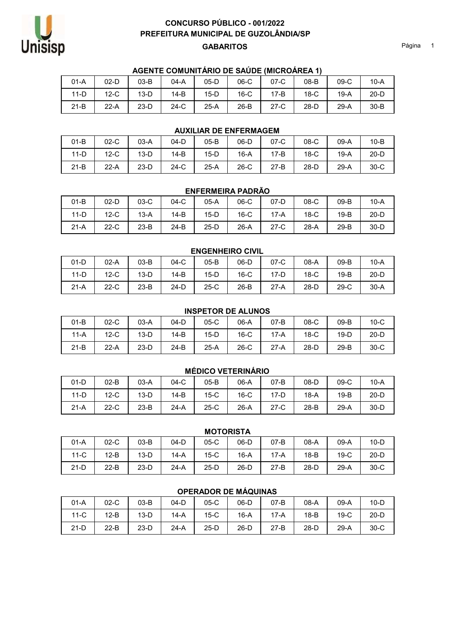

## GABARITOS Página 1 CONCURSO PÚBLICO - 001/2022 PREFEITURA MUNICIPAL DE GUZOLÂNDIA/SP

### AGENTE COMUNITÁRIO DE SAÚDE (MICROÁREA 1)

| 01-A | 02-D   03-B   04-A   \                                              |  | 05-D   06-C   07-C | 08-B                                         | 09-C I | 10-A |
|------|---------------------------------------------------------------------|--|--------------------|----------------------------------------------|--------|------|
|      | 11-D   12-C   13-D   14-B   15-D   16-C   17-B   18-C   19-A   20-D |  |                    |                                              |        |      |
| 21-B |                                                                     |  |                    | 22-A 23-D 24-C 25-A 26-B 27-C 28-D 29-A 30-B |        |      |

### AUXILIAR DE ENFERMAGEM

| $01-B$ | $02-C$ | 03-A   | $04-D$       | 05-B | 06-D   07-C | $08-C$ | 09-A   | $10-B$ |
|--------|--------|--------|--------------|------|-------------|--------|--------|--------|
| $11-D$ | $12-C$ | $13-D$ | $\vert$ 14-B | 15-D | 16-A   17-B | 18-C   | 19-A I | $20-D$ |
| $21-B$ | $22-A$ | 23-D   | 24-C         | 25-A | 26-C   27-B | 28-D   | 29-A   | 30-C   |

#### ENFERMEIRA PADRÃO

| $01-B$ | $02-D$ | $03-C$ | $04-C$ | $05-A$ | $06-C$ | $07-D$ | $08-C$ | $09-B$ | $10-A$ |
|--------|--------|--------|--------|--------|--------|--------|--------|--------|--------|
| $11-D$ | $12-C$ | $13-A$ | $14-B$ | $15-D$ | $16-C$ | $17-A$ | $18-C$ | $19-B$ | $20-D$ |
| $21-A$ | $22-C$ | $23-B$ | $24-B$ | $25-D$ | $26-A$ | $27-C$ | $28-A$ | $29-B$ | $30-D$ |

# ENGENHEIRO CIVIL 01-D 02-A 03-B 04-C 05-B 06-D 07-C 08-A 09-B 10-A 11-D 12-C 13-D 14-B 15-D 16-C 17-D 18-C 19-B 20-D 21-A | 22-C | 23-B | 24-D | 25-C | 26-B | 27-A | 28-D | 29-C | 30-A

|  | <b>INSPETOR DE ALUNOS</b> |
|--|---------------------------|
|  |                           |

| $01-B$ | $02-C$ | $03-A$ | $04-D$ | $05-C$ | 06-A   | $07-B$ | $08-C$ | $09-B$ | $10-C$ |
|--------|--------|--------|--------|--------|--------|--------|--------|--------|--------|
| $11-A$ | $12-C$ | $13-D$ | $14-B$ | $15-D$ | $16-C$ | $17-A$ | $18-C$ | $19-D$ | $20-D$ |
| $21-B$ | $22-A$ | $23-D$ | $24-B$ | $25-A$ | $26-C$ | $27-A$ | $28-D$ | $29-B$ | $30-C$ |

### MÉDICO VETERINÁRIO

| $01-D$ | $02-B$ | $03-A$ | $04-C$ | 05-B   | 06-A   | $07-B$ | 08-D   | $09-C$ | $10-A$ |
|--------|--------|--------|--------|--------|--------|--------|--------|--------|--------|
| $11-D$ | $12-C$ | $13-D$ | $14-B$ | $15-C$ | $16-C$ | $17-D$ | $18-A$ | $19-B$ | $20-D$ |
| $21-A$ | $22-C$ | $23-B$ | $24-A$ | $25-C$ | $26-A$ | $27-C$ | $28-B$ | $29-A$ | $30-D$ |

#### **MOTORISTA**

| $01-A$ | $02-C$ | $03-B$ | $04-D$ | $05-C$ | $06-D$ | $07-B$ | $08-A$ | $09-A$ | $10-D$ |
|--------|--------|--------|--------|--------|--------|--------|--------|--------|--------|
| $11-C$ | $12-B$ | $13-D$ | $14-A$ | $15-C$ | $16-A$ | $17-A$ | $18-B$ | $19-C$ | $20-D$ |
| $21-D$ | $22-B$ | $23-D$ | $24-A$ | $25-D$ | $26-D$ | $27-B$ | $28-D$ | $29-A$ | $30-C$ |

## OPERADOR DE MÁQUINAS

| $01-A$ | $02-C$ | $03-B$ | $04-D$ | $05-C$ | $06-D$ | $07-B$ | 08-A   | $09-A$ | $10-D$ |
|--------|--------|--------|--------|--------|--------|--------|--------|--------|--------|
| $11-C$ | $12-B$ | $13-D$ | $14-A$ | $15-C$ | 16-A   | $17-A$ | $18-B$ | $19-C$ | $20-D$ |
| $21-D$ | $22-B$ | $23-D$ | $24-A$ | $25-D$ | $26-D$ | $27-B$ | $28-D$ | $29-A$ | $30-C$ |